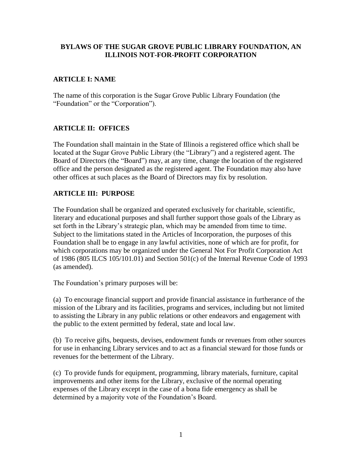### **BYLAWS OF THE SUGAR GROVE PUBLIC LIBRARY FOUNDATION, AN ILLINOIS NOT-FOR-PROFIT CORPORATION**

## **ARTICLE I: NAME**

The name of this corporation is the Sugar Grove Public Library Foundation (the "Foundation" or the "Corporation").

## **ARTICLE II: OFFICES**

The Foundation shall maintain in the State of Illinois a registered office which shall be located at the Sugar Grove Public Library (the "Library") and a registered agent. The Board of Directors (the "Board") may, at any time, change the location of the registered office and the person designated as the registered agent. The Foundation may also have other offices at such places as the Board of Directors may fix by resolution.

## **ARTICLE III: PURPOSE**

The Foundation shall be organized and operated exclusively for charitable, scientific, literary and educational purposes and shall further support those goals of the Library as set forth in the Library's strategic plan, which may be amended from time to time. Subject to the limitations stated in the Articles of Incorporation, the purposes of this Foundation shall be to engage in any lawful activities, none of which are for profit, for which corporations may be organized under the General Not For Profit Corporation Act of 1986 (805 ILCS 105/101.01) and Section 501(c) of the Internal Revenue Code of 1993 (as amended).

The Foundation's primary purposes will be:

(a) To encourage financial support and provide financial assistance in furtherance of the mission of the Library and its facilities, programs and services, including but not limited to assisting the Library in any public relations or other endeavors and engagement with the public to the extent permitted by federal, state and local law.

(b) To receive gifts, bequests, devises, endowment funds or revenues from other sources for use in enhancing Library services and to act as a financial steward for those funds or revenues for the betterment of the Library.

(c) To provide funds for equipment, programming, library materials, furniture, capital improvements and other items for the Library, exclusive of the normal operating expenses of the Library except in the case of a bona fide emergency as shall be determined by a majority vote of the Foundation's Board.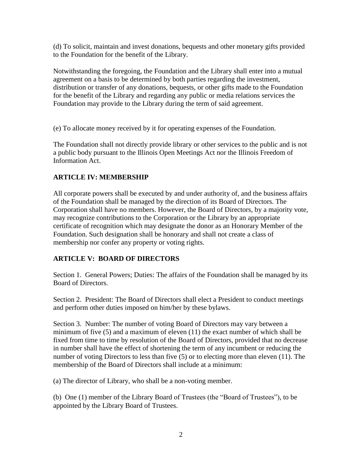(d) To solicit, maintain and invest donations, bequests and other monetary gifts provided to the Foundation for the benefit of the Library.

Notwithstanding the foregoing, the Foundation and the Library shall enter into a mutual agreement on a basis to be determined by both parties regarding the investment, distribution or transfer of any donations, bequests, or other gifts made to the Foundation for the benefit of the Library and regarding any public or media relations services the Foundation may provide to the Library during the term of said agreement.

(e) To allocate money received by it for operating expenses of the Foundation.

The Foundation shall not directly provide library or other services to the public and is not a public body pursuant to the Illinois Open Meetings Act nor the Illinois Freedom of Information Act.

## **ARTICLE IV: MEMBERSHIP**

All corporate powers shall be executed by and under authority of, and the business affairs of the Foundation shall be managed by the direction of its Board of Directors. The Corporation shall have no members. However, the Board of Directors, by a majority vote, may recognize contributions to the Corporation or the Library by an appropriate certificate of recognition which may designate the donor as an Honorary Member of the Foundation. Such designation shall be honorary and shall not create a class of membership nor confer any property or voting rights.

# **ARTICLE V: BOARD OF DIRECTORS**

Section 1. General Powers; Duties: The affairs of the Foundation shall be managed by its Board of Directors.

Section 2. President: The Board of Directors shall elect a President to conduct meetings and perform other duties imposed on him/her by these bylaws.

Section 3. Number: The number of voting Board of Directors may vary between a minimum of five (5) and a maximum of eleven (11) the exact number of which shall be fixed from time to time by resolution of the Board of Directors, provided that no decrease in number shall have the effect of shortening the term of any incumbent or reducing the number of voting Directors to less than five (5) or to electing more than eleven (11). The membership of the Board of Directors shall include at a minimum:

(a) The director of Library, who shall be a non-voting member.

(b) One (1) member of the Library Board of Trustees (the "Board of Trustees"), to be appointed by the Library Board of Trustees.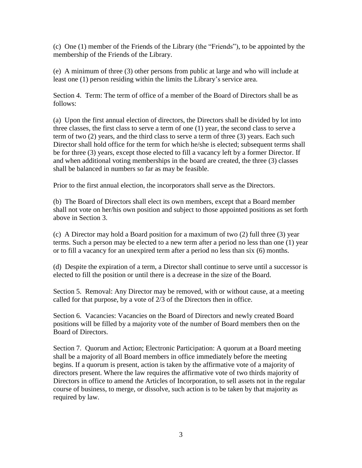(c) One (1) member of the Friends of the Library (the "Friends"), to be appointed by the membership of the Friends of the Library.

(e) A minimum of three (3) other persons from public at large and who will include at least one (1) person residing within the limits the Library's service area.

Section 4. Term: The term of office of a member of the Board of Directors shall be as follows:

(a) Upon the first annual election of directors, the Directors shall be divided by lot into three classes, the first class to serve a term of one (1) year, the second class to serve a term of two (2) years, and the third class to serve a term of three (3) years. Each such Director shall hold office for the term for which he/she is elected; subsequent terms shall be for three (3) years, except those elected to fill a vacancy left by a former Director. If and when additional voting memberships in the board are created, the three (3) classes shall be balanced in numbers so far as may be feasible.

Prior to the first annual election, the incorporators shall serve as the Directors.

(b) The Board of Directors shall elect its own members, except that a Board member shall not vote on her/his own position and subject to those appointed positions as set forth above in Section 3.

(c) A Director may hold a Board position for a maximum of two (2) full three (3) year terms. Such a person may be elected to a new term after a period no less than one (1) year or to fill a vacancy for an unexpired term after a period no less than six (6) months.

(d) Despite the expiration of a term, a Director shall continue to serve until a successor is elected to fill the position or until there is a decrease in the size of the Board.

Section 5. Removal: Any Director may be removed, with or without cause, at a meeting called for that purpose, by a vote of 2/3 of the Directors then in office.

Section 6. Vacancies: Vacancies on the Board of Directors and newly created Board positions will be filled by a majority vote of the number of Board members then on the Board of Directors.

Section 7. Quorum and Action; Electronic Participation: A quorum at a Board meeting shall be a majority of all Board members in office immediately before the meeting begins. If a quorum is present, action is taken by the affirmative vote of a majority of directors present. Where the law requires the affirmative vote of two thirds majority of Directors in office to amend the Articles of Incorporation, to sell assets not in the regular course of business, to merge, or dissolve, such action is to be taken by that majority as required by law.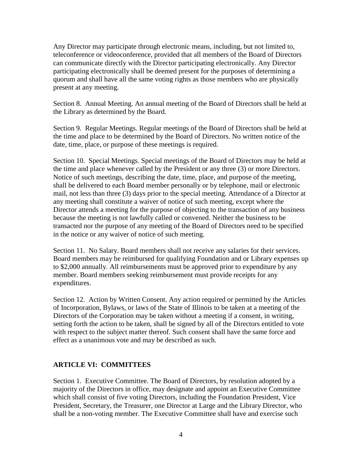Any Director may participate through electronic means, including, but not limited to, teleconference or videoconference, provided that all members of the Board of Directors can communicate directly with the Director participating electronically. Any Director participating electronically shall be deemed present for the purposes of determining a quorum and shall have all the same voting rights as those members who are physically present at any meeting.

Section 8. Annual Meeting. An annual meeting of the Board of Directors shall be held at the Library as determined by the Board.

Section 9. Regular Meetings. Regular meetings of the Board of Directors shall be held at the time and place to be determined by the Board of Directors. No written notice of the date, time, place, or purpose of these meetings is required.

Section 10. Special Meetings. Special meetings of the Board of Directors may be held at the time and place whenever called by the President or any three (3) or more Directors. Notice of such meetings, describing the date, time, place, and purpose of the meeting, shall be delivered to each Board member personally or by telephone, mail or electronic mail, not less than three (3) days prior to the special meeting. Attendance of a Director at any meeting shall constitute a waiver of notice of such meeting, except where the Director attends a meeting for the purpose of objecting to the transaction of any business because the meeting is not lawfully called or convened. Neither the business to be transacted nor the purpose of any meeting of the Board of Directors need to be specified in the notice or any waiver of notice of such meeting.

Section 11. No Salary. Board members shall not receive any salaries for their services. Board members may be reimbursed for qualifying Foundation and or Library expenses up to \$2,000 annually. All reimbursements must be approved prior to expenditure by any member. Board members seeking reimbursement must provide receipts for any expenditures.

Section 12. Action by Written Consent. Any action required or permitted by the Articles of Incorporation, Bylaws, or laws of the State of Illinois to be taken at a meeting of the Directors of the Corporation may be taken without a meeting if a consent, in writing, setting forth the action to be taken, shall be signed by all of the Directors entitled to vote with respect to the subject matter thereof. Such consent shall have the same force and effect as a unanimous vote and may be described as such.

### **ARTICLE VI: COMMITTEES**

Section 1. Executive Committee. The Board of Directors, by resolution adopted by a majority of the Directors in office, may designate and appoint an Executive Committee which shall consist of five voting Directors, including the Foundation President, Vice President, Secretary, the Treasurer, one Director at Large and the Library Director, who shall be a non-voting member. The Executive Committee shall have and exercise such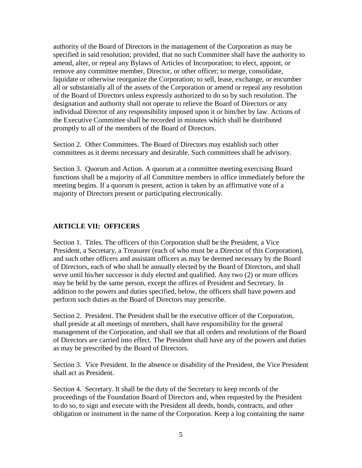authority of the Board of Directors in the management of the Corporation as may be specified in said resolution; provided, that no such Committee shall have the authority to amend, alter, or repeal any Bylaws of Articles of Incorporation; to elect, appoint, or remove any committee member, Director, or other officer; to merge, consolidate, liquidate or otherwise reorganize the Corporation; to sell, lease, exchange, or encumber all or substantially all of the assets of the Corporation or amend or repeal any resolution of the Board of Directors unless expressly authorized to do so by such resolution. The designation and authority shall not operate to relieve the Board of Directors or any individual Director of any responsibility imposed upon it or him/her by law. Actions of the Executive Committee shall be recorded in minutes which shall be distributed promptly to all of the members of the Board of Directors.

Section 2. Other Committees. The Board of Directors may establish such other committees as it deems necessary and desirable. Such committees shall be advisory.

Section 3. Quorum and Action. A quorum at a committee meeting exercising Board functions shall be a majority of all Committee members in office immediately before the meeting begins. If a quorum is present, action is taken by an affirmative vote of a majority of Directors present or participating electronically.

### **ARTICLE VII: OFFICERS**

Section 1. Titles. The officers of this Corporation shall be the President, a Vice President, a Secretary, a Treasurer (each of who must be a Director of this Corporation), and such other officers and assistant officers as may be deemed necessary by the Board of Directors, each of who shall be annually elected by the Board of Directors, and shall serve until his/her successor is duly elected and qualified. Any two (2) or more offices may be held by the same person, except the offices of President and Secretary. In addition to the powers and duties specified, below, the officers shall have powers and perform such duties as the Board of Directors may prescribe.

Section 2. President. The President shall be the executive officer of the Corporation, shall preside at all meetings of members, shall have responsibility for the general management of the Corporation, and shall see that all orders and resolutions of the Board of Directors are carried into effect. The President shall have any of the powers and duties as may be prescribed by the Board of Directors.

Section 3. Vice President. In the absence or disability of the President, the Vice President shall act as President.

Section 4. Secretary. It shall be the duty of the Secretary to keep records of the proceedings of the Foundation Board of Directors and, when requested by the President to do so, to sign and execute with the President all deeds, bonds, contracts, and other obligation or instrument in the name of the Corporation. Keep a log containing the name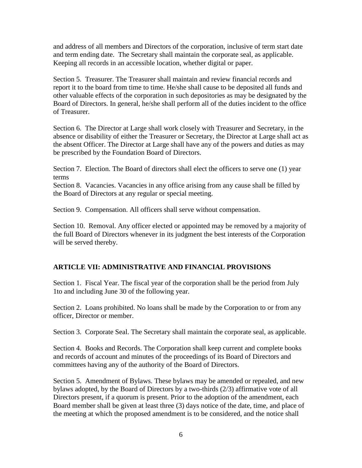and address of all members and Directors of the corporation, inclusive of term start date and term ending date. The Secretary shall maintain the corporate seal, as applicable. Keeping all records in an accessible location, whether digital or paper.

Section 5. Treasurer. The Treasurer shall maintain and review financial records and report it to the board from time to time. He/she shall cause to be deposited all funds and other valuable effects of the corporation in such depositories as may be designated by the Board of Directors. In general, he/she shall perform all of the duties incident to the office of Treasurer.

Section 6. The Director at Large shall work closely with Treasurer and Secretary, in the absence or disability of either the Treasurer or Secretary, the Director at Large shall act as the absent Officer. The Director at Large shall have any of the powers and duties as may be prescribed by the Foundation Board of Directors.

Section 7. Election. The Board of directors shall elect the officers to serve one (1) year terms

Section 8. Vacancies. Vacancies in any office arising from any cause shall be filled by the Board of Directors at any regular or special meeting.

Section 9. Compensation. All officers shall serve without compensation.

Section 10. Removal. Any officer elected or appointed may be removed by a majority of the full Board of Directors whenever in its judgment the best interests of the Corporation will be served thereby.

### **ARTICLE VII: ADMINISTRATIVE AND FINANCIAL PROVISIONS**

Section 1. Fiscal Year. The fiscal year of the corporation shall be the period from July 1to and including June 30 of the following year.

Section 2. Loans prohibited. No loans shall be made by the Corporation to or from any officer, Director or member.

Section 3. Corporate Seal. The Secretary shall maintain the corporate seal, as applicable.

Section 4. Books and Records. The Corporation shall keep current and complete books and records of account and minutes of the proceedings of its Board of Directors and committees having any of the authority of the Board of Directors.

Section 5. Amendment of Bylaws. These bylaws may be amended or repealed, and new bylaws adopted, by the Board of Directors by a two-thirds (2/3) affirmative vote of all Directors present, if a quorum is present. Prior to the adoption of the amendment, each Board member shall be given at least three (3) days notice of the date, time, and place of the meeting at which the proposed amendment is to be considered, and the notice shall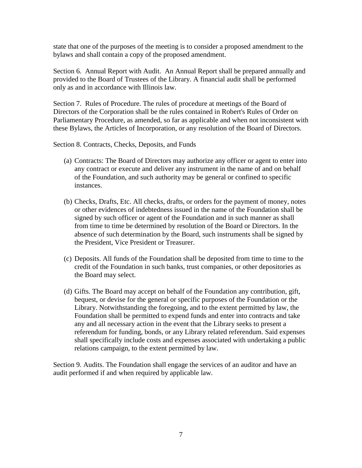state that one of the purposes of the meeting is to consider a proposed amendment to the bylaws and shall contain a copy of the proposed amendment.

Section 6. Annual Report with Audit. An Annual Report shall be prepared annually and provided to the Board of Trustees of the Library. A financial audit shall be performed only as and in accordance with Illinois law.

Section 7. Rules of Procedure. The rules of procedure at meetings of the Board of Directors of the Corporation shall be the rules contained in Robert's Rules of Order on Parliamentary Procedure, as amended, so far as applicable and when not inconsistent with these Bylaws, the Articles of Incorporation, or any resolution of the Board of Directors.

Section 8. Contracts, Checks, Deposits, and Funds

- (a) Contracts: The Board of Directors may authorize any officer or agent to enter into any contract or execute and deliver any instrument in the name of and on behalf of the Foundation, and such authority may be general or confined to specific instances.
- (b) Checks, Drafts, Etc. All checks, drafts, or orders for the payment of money, notes or other evidences of indebtedness issued in the name of the Foundation shall be signed by such officer or agent of the Foundation and in such manner as shall from time to time be determined by resolution of the Board or Directors. In the absence of such determination by the Board, such instruments shall be signed by the President, Vice President or Treasurer.
- (c) Deposits. All funds of the Foundation shall be deposited from time to time to the credit of the Foundation in such banks, trust companies, or other depositories as the Board may select.
- (d) Gifts. The Board may accept on behalf of the Foundation any contribution, gift, bequest, or devise for the general or specific purposes of the Foundation or the Library. Notwithstanding the foregoing, and to the extent permitted by law, the Foundation shall be permitted to expend funds and enter into contracts and take any and all necessary action in the event that the Library seeks to present a referendum for funding, bonds, or any Library related referendum. Said expenses shall specifically include costs and expenses associated with undertaking a public relations campaign, to the extent permitted by law.

Section 9. Audits. The Foundation shall engage the services of an auditor and have an audit performed if and when required by applicable law.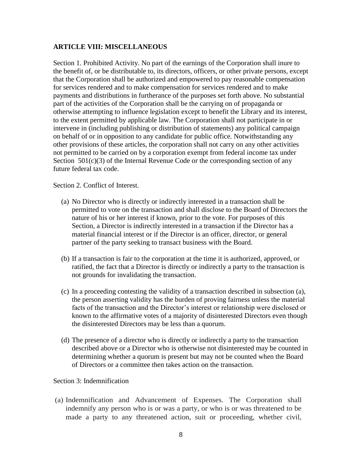#### **ARTICLE VIII: MISCELLANEOUS**

Section 1. Prohibited Activity. No part of the earnings of the Corporation shall inure to the benefit of, or be distributable to, its directors, officers, or other private persons, except that the Corporation shall be authorized and empowered to pay reasonable compensation for services rendered and to make compensation for services rendered and to make payments and distributions in furtherance of the purposes set forth above. No substantial part of the activities of the Corporation shall be the carrying on of propaganda or otherwise attempting to influence legislation except to benefit the Library and its interest, to the extent permitted by applicable law. The Corporation shall not participate in or intervene in (including publishing or distribution of statements) any political campaign on behalf of or in opposition to any candidate for public office. Notwithstanding any other provisions of these articles, the corporation shall not carry on any other activities not permitted to be carried on by a corporation exempt from federal income tax under Section  $501(c)(3)$  of the Internal Revenue Code or the corresponding section of any future federal tax code.

Section 2. Conflict of Interest.

- (a) No Director who is directly or indirectly interested in a transaction shall be permitted to vote on the transaction and shall disclose to the Board of Directors the nature of his or her interest if known, prior to the vote. For purposes of this Section, a Director is indirectly interested in a transaction if the Director has a material financial interest or if the Director is an officer, director, or general partner of the party seeking to transact business with the Board.
- (b) If a transaction is fair to the corporation at the time it is authorized, approved, or ratified, the fact that a Director is directly or indirectly a party to the transaction is not grounds for invalidating the transaction.
- (c) In a proceeding contesting the validity of a transaction described in subsection (a), the person asserting validity has the burden of proving fairness unless the material facts of the transaction and the Director's interest or relationship were disclosed or known to the affirmative votes of a majority of disinterested Directors even though the disinterested Directors may be less than a quorum.
- (d) The presence of a director who is directly or indirectly a party to the transaction described above or a Director who is otherwise not disinterested may be counted in determining whether a quorum is present but may not be counted when the Board of Directors or a committee then takes action on the transaction.

#### Section 3: Indemnification

(a) Indemnification and Advancement of Expenses. The Corporation shall indemnify any person who is or was a party, or who is or was threatened to be made a party to any threatened action, suit or proceeding, whether civil,